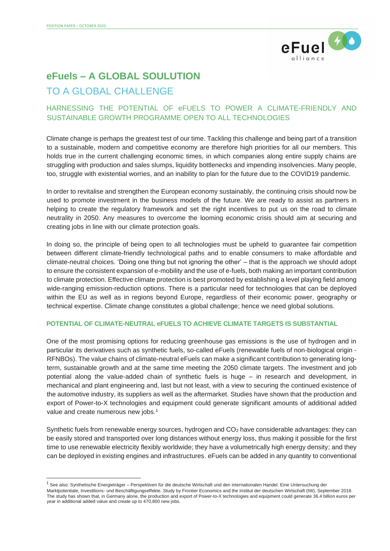

# **eFuels – A GLOBAL SOULUTION**

# TO A GLOBAL CHALLENGE

# HARNESSING THE POTENTIAL OF eFUELS TO POWER A CLIMATE-FRIENDLY AND SUSTAINABLE GROWTH PROGRAMME OPEN TO ALL TECHNOLOGIES

Climate change is perhaps the greatest test of our time. Tackling this challenge and being part of a transition to a sustainable, modern and competitive economy are therefore high priorities for all our members. This holds true in the current challenging economic times, in which companies along entire supply chains are struggling with production and sales slumps, liquidity bottlenecks and impending insolvencies. Many people, too, struggle with existential worries, and an inability to plan for the future due to the COVID19 pandemic.

In order to revitalise and strengthen the European economy sustainably, the continuing crisis should now be used to promote investment in the business models of the future. We are ready to assist as partners in helping to create the regulatory framework and set the right incentives to put us on the road to climate neutrality in 2050. Any measures to overcome the looming economic crisis should aim at securing and creating jobs in line with our climate protection goals.

In doing so, the principle of being open to all technologies must be upheld to guarantee fair competition between different climate-friendly technological paths and to enable consumers to make affordable and climate-neutral choices. 'Doing one thing but not ignoring the other' – that is the approach we should adopt to ensure the consistent expansion of e-mobility and the use of e-fuels, both making an important contribution to climate protection. Effective climate protection is best promoted by establishing a level playing field among wide-ranging emission-reduction options. There is a particular need for technologies that can be deployed within the EU as well as in regions beyond Europe, regardless of their economic power, geography or technical expertise. Climate change constitutes a global challenge; hence we need global solutions.

## **POTENTIAL OF CLIMATE-NEUTRAL eFUELS TO ACHIEVE CLIMATE TARGETS IS SUBSTANTIAL**

One of the most promising options for reducing greenhouse gas emissions is the use of hydrogen and in particular its derivatives such as synthetic fuels, so-called eFuels (renewable fuels of non-biological origin - RFNBOs). The value chains of climate-neutral eFuels can make a significant contribution to generating longterm, sustainable growth and at the same time meeting the 2050 climate targets. The investment and job potential along the value-added chain of synthetic fuels is huge – in research and development, in mechanical and plant engineering and, last but not least, with a view to securing the continued existence of the automotive industry, its suppliers as well as the aftermarket. Studies have shown that the production and export of Power-to-X technologies and equipment could generate significant amounts of additional added value and create numerous new jobs.<sup>1</sup>

Synthetic fuels from renewable energy sources, hydrogen and  $CO<sub>2</sub>$  have considerable advantages: they can be easily stored and transported over long distances without energy loss, thus making it possible for the first time to use renewable electricity flexibly worldwide; they have a volumetrically high energy density; and they can be deployed in existing engines and infrastructures. eFuels can be added in any quantity to conventional

<sup>&</sup>lt;sup>1</sup> See also: Synthetische Energieträger – Perspektiven für die deutsche Wirtschaft und den internationalen Handel. Eine Untersuchung der

Marktpotentiale, Investitions- und Beschäftigungseffekte. Study by Frontier Economics and the Institut der deutschen Wirtschaft (IW), September 2018. The study has shown that, in Germany alone, the production and export of Power-to-X technologies and equipment could generate 36.4 billion euros per year in additional added value and create up to 470,800 new jobs.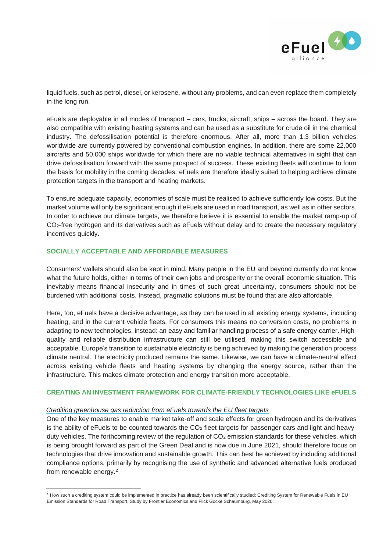

liquid fuels, such as petrol, diesel, or kerosene, without any problems, and can even replace them completely in the long run.

eFuels are deployable in all modes of transport – cars, trucks, aircraft, ships – across the board. They are also compatible with existing heating systems and can be used as a substitute for crude oil in the chemical industry. The defossilisation potential is therefore enormous. After all, more than 1.3 billion vehicles worldwide are currently powered by conventional combustion engines. In addition, there are some 22,000 aircrafts and 50,000 ships worldwide for which there are no viable technical alternatives in sight that can drive defossilisation forward with the same prospect of success. These existing fleets will continue to form the basis for mobility in the coming decades. eFuels are therefore ideally suited to helping achieve climate protection targets in the transport and heating markets.

To ensure adequate capacity, economies of scale must be realised to achieve sufficiently low costs. But the market volume will only be significant enough if eFuels are used in road transport, as well as in other sectors. In order to achieve our climate targets, we therefore believe it is essential to enable the market ramp-up of CO2-free hydrogen and its derivatives such as eFuels without delay and to create the necessary regulatory incentives quickly.

#### **SOCIALLY ACCEPTABLE AND AFFORDABLE MEASURES**

Consumers' wallets should also be kept in mind. Many people in the EU and beyond currently do not know what the future holds, either in terms of their own jobs and prosperity or the overall economic situation. This inevitably means financial insecurity and in times of such great uncertainty, consumers should not be burdened with additional costs. Instead, pragmatic solutions must be found that are also affordable.

Here, too, eFuels have a decisive advantage, as they can be used in all existing energy systems, including heating, and in the current vehicle fleets. For consumers this means no conversion costs, no problems in adapting to new technologies, instead: an easy and familiar handling process of a safe energy carrier. Highquality and reliable distribution infrastructure can still be utilised, making this switch accessible and acceptable. Europe's transition to sustainable electricity is being achieved by making the generation process climate neutral. The electricity produced remains the same. Likewise, we can have a climate-neutral effect across existing vehicle fleets and heating systems by changing the energy source, rather than the infrastructure. This makes climate protection and energy transition more acceptable.

### **CREATING AN INVESTMENT FRAMEWORK FOR CLIMATE-FRIENDLY TECHNOLOGIES LIKE eFUELS**

#### *Crediting greenhouse gas reduction from eFuels towards the EU fleet targets*

One of the key measures to enable market take-off and scale effects for green hydrogen and its derivatives is the ability of eFuels to be counted towards the  $CO<sub>2</sub>$  fleet targets for passenger cars and light and heavyduty vehicles. The forthcoming review of the regulation of  $CO<sub>2</sub>$  emission standards for these vehicles, which is being brought forward as part of the Green Deal and is now due in June 2021, should therefore focus on technologies that drive innovation and sustainable growth. This can best be achieved by including additional compliance options, primarily by recognising the use of synthetic and advanced alternative fuels produced from renewable energy.<sup>2</sup>

<sup>&</sup>lt;sup>2</sup> How such a crediting system could be implemented in practice has already been scientifically studied: Crediting System for Renewable Fuels in EU Emission Standards for Road Transport. Study by Frontier Economics and Flick Gocke Schaumburg, May 2020.